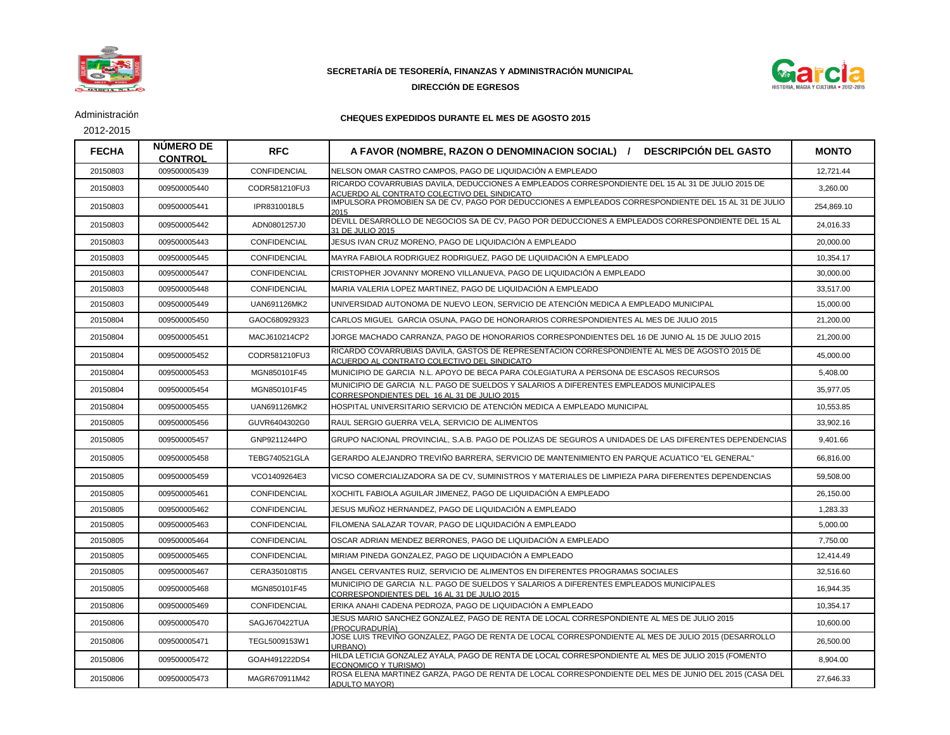

## **SECRETARÍA DE TESORERÍA, FINANZAS Y ADMINISTRACIÓN MUNICIPAL**

## **DIRECCIÓN DE EGRESOS**



Administración

2012-2015

## **CHEQUES EXPEDIDOS DURANTE EL MES DE AGOSTO 2015**

| <b>FECHA</b> | <b>NUMERO DE</b><br><b>CONTROL</b> | <b>RFC</b>           | A FAVOR (NOMBRE, RAZON O DENOMINACION SOCIAL) / DESCRIPCIÓN DEL GASTO                                                                            | <b>MONTO</b> |
|--------------|------------------------------------|----------------------|--------------------------------------------------------------------------------------------------------------------------------------------------|--------------|
| 20150803     | 009500005439                       | CONFIDENCIAL         | NELSON OMAR CASTRO CAMPOS, PAGO DE LIQUIDACIÓN A EMPLEADO                                                                                        | 12,721.44    |
| 20150803     | 009500005440                       | CODR581210FU3        | RICARDO COVARRUBIAS DAVILA. DEDUCCIONES A EMPLEADOS CORRESPONDIENTE DEL 15 AL 31 DE JULIO 2015 DE<br>ACUERDO AL CONTRATO COLECTIVO DEL SINDICATO | 3,260.00     |
| 20150803     | 009500005441                       | IPR8310018L5         | IMPULSORA PROMOBIEN SA DE CV, PAGO POR DEDUCCIONES A EMPLEADOS CORRESPONDIENTE DEL 15 AL 31 DE JULIO<br>2015                                     | 254,869.10   |
| 20150803     | 009500005442                       | ADN0801257J0         | DEVILL DESARROLLO DE NEGOCIOS SA DE CV. PAGO POR DEDUCCIONES A EMPLEADOS CORRESPONDIENTE DEL 15 AL<br>31 DE JULIO 2015                           | 24,016.33    |
| 20150803     | 009500005443                       | CONFIDENCIAL         | JESUS IVAN CRUZ MORENO, PAGO DE LIQUIDACIÓN A EMPLEADO                                                                                           | 20,000.00    |
| 20150803     | 009500005445                       | CONFIDENCIAL         | MAYRA FABIOLA RODRIGUEZ RODRIGUEZ. PAGO DE LIQUIDACIÓN A EMPLEADO                                                                                | 10.354.17    |
| 20150803     | 009500005447                       | CONFIDENCIAL         | CRISTOPHER JOVANNY MORENO VILLANUEVA, PAGO DE LIQUIDACIÓN A EMPLEADO                                                                             | 30,000.00    |
| 20150803     | 009500005448                       | <b>CONFIDENCIAL</b>  | MARIA VALERIA LOPEZ MARTINEZ. PAGO DE LIQUIDACIÓN A EMPLEADO                                                                                     | 33.517.00    |
| 20150803     | 009500005449                       | UAN691126MK2         | UNIVERSIDAD AUTONOMA DE NUEVO LEON, SERVICIO DE ATENCIÓN MEDICA A EMPLEADO MUNICIPAL                                                             | 15,000.00    |
| 20150804     | 009500005450                       | GAOC680929323        | CARLOS MIGUEL GARCIA OSUNA, PAGO DE HONORARIOS CORRESPONDIENTES AL MES DE JULIO 2015                                                             | 21,200.00    |
| 20150804     | 009500005451                       | MACJ610214CP2        | JORGE MACHADO CARRANZA, PAGO DE HONORARIOS CORRESPONDIENTES DEL 16 DE JUNIO AL 15 DE JULIO 2015                                                  | 21,200.00    |
| 20150804     | 009500005452                       | CODR581210FU3        | RICARDO COVARRUBIAS DAVILA. GASTOS DE REPRESENTACION CORRESPONDIENTE AL MES DE AGOSTO 2015 DE<br>ACUERDO AL CONTRATO COLECTIVO DEL SINDICATO     | 45,000.00    |
| 20150804     | 009500005453                       | MGN850101F45         | MUNICIPIO DE GARCIA N.L. APOYO DE BECA PARA COLEGIATURA A PERSONA DE ESCASOS RECURSOS                                                            | 5,408.00     |
| 20150804     | 009500005454                       | MGN850101F45         | MUNICIPIO DE GARCIA N.L. PAGO DE SUELDOS Y SALARIOS A DIFERENTES EMPLEADOS MUNICIPALES<br>CORRESPONDIENTES DEL 16 AL 31 DE JULIO 2015            | 35.977.05    |
| 20150804     | 009500005455                       | UAN691126MK2         | HOSPITAL UNIVERSITARIO SERVICIO DE ATENCIÓN MEDICA A EMPLEADO MUNICIPAL                                                                          | 10,553.85    |
| 20150805     | 009500005456                       | GUVR6404302G0        | RAUL SERGIO GUERRA VELA, SERVICIO DE ALIMENTOS                                                                                                   | 33,902.16    |
| 20150805     | 009500005457                       | GNP9211244PO         | GRUPO NACIONAL PROVINCIAL, S.A.B. PAGO DE POLIZAS DE SEGUROS A UNIDADES DE LAS DIFERENTES DEPENDENCIAS                                           | 9,401.66     |
| 20150805     | 009500005458                       | <b>TEBG740521GLA</b> | GERARDO ALEJANDRO TREVIÑO BARRERA. SERVICIO DE MANTENIMIENTO EN PARQUE ACUATICO "EL GENERAL"                                                     | 66,816.00    |
| 20150805     | 009500005459                       | VCO1409264E3         | VICSO COMERCIALIZADORA SA DE CV, SUMINISTROS Y MATERIALES DE LIMPIEZA PARA DIFERENTES DEPENDENCIAS                                               | 59,508.00    |
| 20150805     | 009500005461                       | CONFIDENCIAL         | XOCHITL FABIOLA AGUILAR JIMENEZ, PAGO DE LIQUIDACIÓN A EMPLEADO                                                                                  | 26,150.00    |
| 20150805     | 009500005462                       | CONFIDENCIAL         | JESUS MUÑOZ HERNANDEZ, PAGO DE LIQUIDACIÓN A EMPLEADO                                                                                            | 1,283.33     |
| 20150805     | 009500005463                       | <b>CONFIDENCIAL</b>  | FILOMENA SALAZAR TOVAR. PAGO DE LIQUIDACIÓN A EMPLEADO                                                                                           | 5,000.00     |
| 20150805     | 009500005464                       | CONFIDENCIAL         | OSCAR ADRIAN MENDEZ BERRONES, PAGO DE LIQUIDACIÓN A EMPLEADO                                                                                     | 7,750.00     |
| 20150805     | 009500005465                       | <b>CONFIDENCIAL</b>  | MIRIAM PINEDA GONZALEZ. PAGO DE LIQUIDACIÓN A EMPLEADO                                                                                           | 12,414.49    |
| 20150805     | 009500005467                       | CERA350108TI5        | ANGEL CERVANTES RUIZ, SERVICIO DE ALIMENTOS EN DIFERENTES PROGRAMAS SOCIALES                                                                     | 32,516.60    |
| 20150805     | 009500005468                       | MGN850101F45         | MUNICIPIO DE GARCIA N.L. PAGO DE SUELDOS Y SALARIOS A DIFERENTES EMPLEADOS MUNICIPALES<br>CORRESPONDIENTES DEL 16 AL 31 DE JULIO 2015            | 16,944.35    |
| 20150806     | 009500005469                       | <b>CONFIDENCIAL</b>  | ERIKA ANAHI CADENA PEDROZA, PAGO DE LIQUIDACIÓN A EMPLEADO                                                                                       | 10,354.17    |
| 20150806     | 009500005470                       | SAGJ670422TUA        | JESUS MARIO SANCHEZ GONZALEZ, PAGO DE RENTA DE LOCAL CORRESPONDIENTE AL MES DE JULIO 2015<br>(PROCURADURÍA)                                      | 10,600.00    |
| 20150806     | 009500005471                       | TEGL5009153W1        | JOSE LUIS TREVIÑO GONZALEZ, PAGO DE RENTA DE LOCAL CORRESPONDIENTE AL MES DE JULIO 2015 (DESARROLLO<br>URBANO)                                   | 26,500.00    |
| 20150806     | 009500005472                       | GOAH491222DS4        | HILDA LETICIA GONZALEZ AYALA, PAGO DE RENTA DE LOCAL CORRESPONDIENTE AL MES DE JULIO 2015 (FOMENTO<br>ECONOMICO Y TURISMO)                       | 8,904.00     |
| 20150806     | 009500005473                       | MAGR670911M42        | ROSA ELENA MARTINEZ GARZA, PAGO DE RENTA DE LOCAL CORRESPONDIENTE DEL MES DE JUNIO DEL 2015 (CASA DEL<br><b>ADULTO MAYOR)</b>                    | 27,646.33    |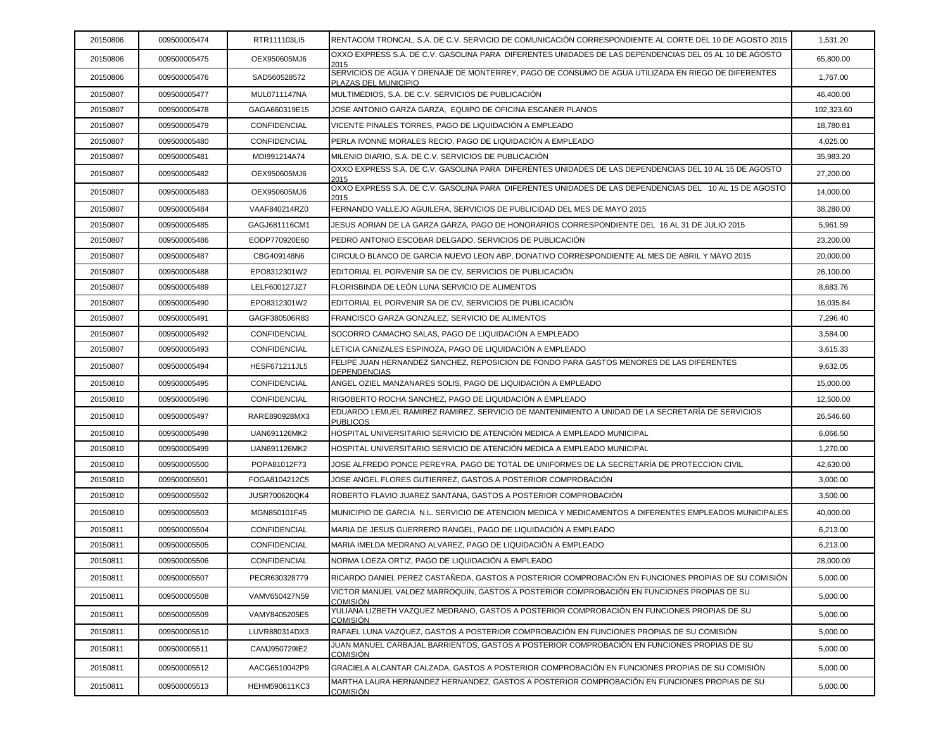| 20150806 | 009500005474 | RTR111103LI5         | RENTACOM TRONCAL, S.A. DE C.V. SERVICIO DE COMUNICACIÓN CORRESPONDIENTE AL CORTE DEL 10 DE AGOSTO 2015                     | 1,531.20   |
|----------|--------------|----------------------|----------------------------------------------------------------------------------------------------------------------------|------------|
| 20150806 | 009500005475 | OEX950605MJ6         | OXXO EXPRESS S.A. DE C.V. GASOLINA PARA DIFERENTES UNIDADES DE LAS DEPENDENCIAS DEL 05 AL 10 DE AGOSTO<br>2015             | 65,800.00  |
| 20150806 | 009500005476 | SAD560528572         | SERVICIOS DE AGUA Y DRENAJE DE MONTERREY, PAGO DE CONSUMO DE AGUA UTILIZADA EN RIEGO DE DIFERENTES<br>PLAZAS DEL MUNICIPIO | 1,767.00   |
| 20150807 | 009500005477 | MUL0711147NA         | MULTIMEDIOS, S.A. DE C.V. SERVICIOS DE PUBLICACIÓN                                                                         | 46,400.00  |
| 20150807 | 009500005478 | GAGA660319E15        | JOSE ANTONIO GARZA GARZA. EQUIPO DE OFICINA ESCANER PLANOS                                                                 | 102,323.60 |
| 20150807 | 009500005479 | CONFIDENCIAL         | VICENTE PINALES TORRES, PAGO DE LIQUIDACIÓN A EMPLEADO                                                                     | 18,780.81  |
| 20150807 | 009500005480 | CONFIDENCIAL         | PERLA IVONNE MORALES RECIO, PAGO DE LIQUIDACIÓN A EMPLEADO                                                                 | 4,025.00   |
| 20150807 | 009500005481 | MDI991214A74         | MILENIO DIARIO, S.A. DE C.V. SERVICIOS DE PUBLICACIÓN                                                                      | 35,983.20  |
| 20150807 | 009500005482 | OEX950605MJ6         | OXXO EXPRESS S.A. DE C.V. GASOLINA PARA DIFERENTES UNIDADES DE LAS DEPENDENCIAS DEL 10 AL 15 DE AGOSTO<br>2015             | 27,200.00  |
| 20150807 | 009500005483 | OEX950605MJ6         | OXXO EXPRESS S.A. DE C.V. GASOLINA PARA DIFERENTES UNIDADES DE LAS DEPENDENCIAS DEL 10 AL 15 DE AGOSTO<br>2015             | 14,000.00  |
| 20150807 | 009500005484 | VAAF840214RZ0        | FERNANDO VALLEJO AGUILERA, SERVICIOS DE PUBLICIDAD DEL MES DE MAYO 2015                                                    | 38,280.00  |
| 20150807 | 009500005485 | GAGJ681116CM1        | JESUS ADRIAN DE LA GARZA GARZA, PAGO DE HONORARIOS CORRESPONDIENTE DEL 16 AL 31 DE JULIO 2015                              | 5,961.59   |
| 20150807 | 009500005486 | EODP770920E60        | PEDRO ANTONIO ESCOBAR DELGADO, SERVICIOS DE PUBLICACIÓN                                                                    | 23,200.00  |
| 20150807 | 009500005487 | CBG409148N6          | CIRCULO BLANCO DE GARCIA NUEVO LEON ABP. DONATIVO CORRESPONDIENTE AL MES DE ABRIL Y MAYO 2015                              | 20,000.00  |
| 20150807 | 009500005488 | EPO8312301W2         | EDITORIAL EL PORVENIR SA DE CV, SERVICIOS DE PUBLICACIÓN                                                                   | 26,100.00  |
| 20150807 | 009500005489 | LELF600127JZ7        | FLORISBINDA DE LEÓN LUNA SERVICIO DE ALIMENTOS                                                                             | 8,683.76   |
| 20150807 | 009500005490 | EPO8312301W2         | EDITORIAL EL PORVENIR SA DE CV. SERVICIOS DE PUBLICACIÓN                                                                   | 16,035.84  |
| 20150807 | 009500005491 | GAGF380506R83        | FRANCISCO GARZA GONZALEZ, SERVICIO DE ALIMENTOS                                                                            | 7,296.40   |
| 20150807 | 009500005492 | <b>CONFIDENCIAL</b>  | SOCORRO CAMACHO SALAS, PAGO DE LIQUIDACIÓN A EMPLEADO                                                                      | 3,584.00   |
| 20150807 | 009500005493 | CONFIDENCIAL         | LETICIA CANIZALES ESPINOZA, PAGO DE LIQUIDACIÓN A EMPLEADO                                                                 | 3,615.33   |
| 20150807 | 009500005494 | <b>HESF671211JL5</b> | FELIPE JUAN HERNANDEZ SANCHEZ, REPOSICION DE FONDO PARA GASTOS MENORES DE LAS DIFERENTES<br><b>DEPENDENCIAS</b>            | 9,632.05   |
| 20150810 | 009500005495 | CONFIDENCIAL         | ANGEL OZIEL MANZANARES SOLIS, PAGO DE LIQUIDACIÓN A EMPLEADO                                                               | 15,000.00  |
| 20150810 | 009500005496 | CONFIDENCIAL         | RIGOBERTO ROCHA SANCHEZ, PAGO DE LIQUIDACIÓN A EMPLEADO                                                                    | 12,500.00  |
| 20150810 | 009500005497 | RARE890928MX3        | EDUARDO LEMUEL RAMIREZ RAMIREZ, SERVICIO DE MANTENIMIENTO A UNIDAD DE LA SECRETARÍA DE SERVICIOS<br><b>PUBLICOS</b>        | 26,546.60  |
| 20150810 | 009500005498 | UAN691126MK2         | HOSPITAL UNIVERSITARIO SERVICIO DE ATENCIÓN MEDICA A EMPLEADO MUNICIPAL                                                    | 6,066.50   |
| 20150810 | 009500005499 | UAN691126MK2         | HOSPITAL UNIVERSITARIO SERVICIO DE ATENCIÓN MEDICA A EMPLEADO MUNICIPAL                                                    | 1,270.00   |
| 20150810 | 009500005500 | POPA81012F73         | JOSE ALFREDO PONCE PEREYRA, PAGO DE TOTAL DE UNIFORMES DE LA SECRETARÍA DE PROTECCION CIVIL                                | 42,630.00  |
| 20150810 | 009500005501 | FOGA8104212C5        | JOSE ANGEL FLORES GUTIERREZ. GASTOS A POSTERIOR COMPROBACIÓN                                                               | 3,000.00   |
| 20150810 | 009500005502 | JUSR700620QK4        | ROBERTO FLAVIO JUAREZ SANTANA, GASTOS A POSTERIOR COMPROBACIÓN                                                             | 3,500.00   |
| 20150810 | 009500005503 | MGN850101F45         | MUNICIPIO DE GARCIA N.L. SERVICIO DE ATENCION MEDICA Y MEDICAMENTOS A DIFERENTES EMPLEADOS MUNICIPALES                     | 40,000.00  |
| 20150811 | 009500005504 | CONFIDENCIAL         | MARIA DE JESUS GUERRERO RANGEL, PAGO DE LIQUIDACIÓN A EMPLEADO                                                             | 6,213.00   |
| 20150811 | 009500005505 | CONFIDENCIAL         | MARIA IMELDA MEDRANO ALVAREZ, PAGO DE LIQUIDACIÓN A EMPLEADO                                                               | 6,213.00   |
| 20150811 | 009500005506 | CONFIDENCIAL         | NORMA LOEZA ORTIZ, PAGO DE LIQUIDACIÓN A EMPLEADO                                                                          | 28,000.00  |
| 20150811 | 009500005507 | PECR630328779        | RICARDO DANIEL PEREZ CASTAÑEDA, GASTOS A POSTERIOR COMPROBACIÓN EN FUNCIONES PROPIAS DE SU COMISIÓN                        | 5,000.00   |
| 20150811 | 009500005508 | VAMV650427N59        | VICTOR MANUEL VALDEZ MARROQUIN, GASTOS A POSTERIOR COMPROBACIÓN EN FUNCIONES PROPIAS DE SU<br>COMISIÓN                     | 5,000.00   |
| 20150811 | 009500005509 | VAMY8405205E5        | YULIANA LIZBETH VAZQUEZ MEDRANO, GASTOS A POSTERIOR COMPROBACIÓN EN FUNCIONES PROPIAS DE SU<br>COMISIÓN                    | 5,000.00   |
| 20150811 | 009500005510 | LUVR880314DX3        | RAFAEL LUNA VAZQUEZ, GASTOS A POSTERIOR COMPROBACIÓN EN FUNCIONES PROPIAS DE SU COMISIÓN                                   | 5,000.00   |
| 20150811 | 009500005511 | CAMJ950729IE2        | JUAN MANUEL CARBAJAL BARRIENTOS, GASTOS A POSTERIOR COMPROBACIÓN EN FUNCIONES PROPIAS DE SU<br><u>COMISIÓN</u>             | 5,000.00   |
| 20150811 | 009500005512 | AACG6510042P9        | GRACIELA ALCANTAR CALZADA, GASTOS A POSTERIOR COMPROBACIÓN EN FUNCIONES PROPIAS DE SU COMISIÓN                             | 5,000.00   |
| 20150811 | 009500005513 | <b>HEHM590611KC3</b> | MARTHA LAURA HERNANDEZ HERNANDEZ, GASTOS A POSTERIOR COMPROBACIÓN EN FUNCIONES PROPIAS DE SU<br><b>COMISIÓN</b>            | 5,000.00   |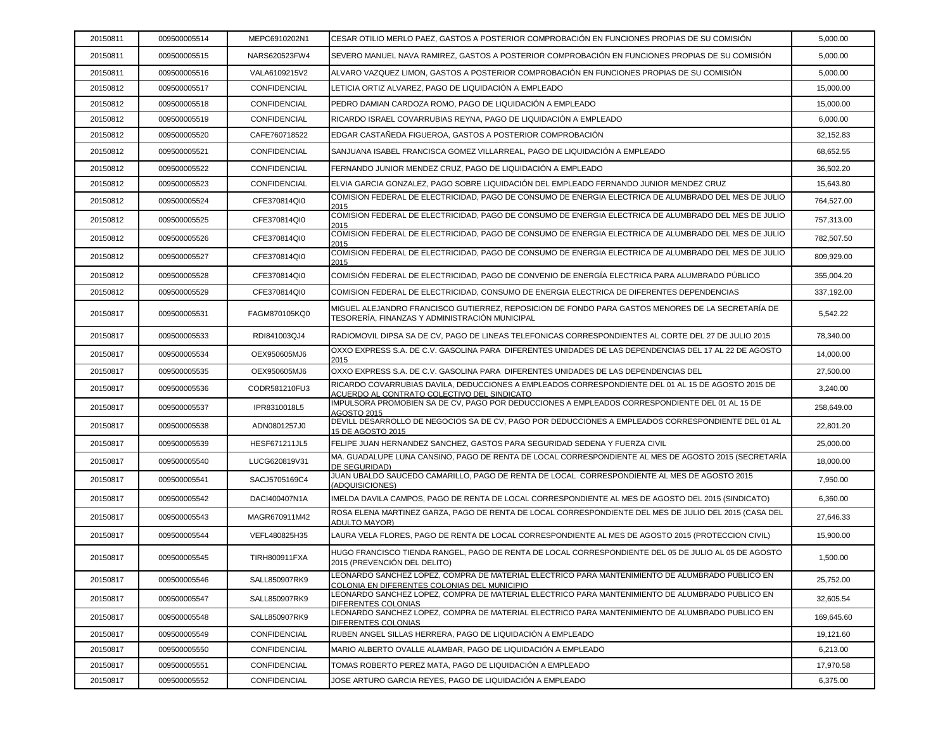| 20150811 | 009500005514 | MEPC6910202N1        | CESAR OTILIO MERLO PAEZ, GASTOS A POSTERIOR COMPROBACIÓN EN FUNCIONES PROPIAS DE SU COMISIÓN                                                        | 5,000.00   |
|----------|--------------|----------------------|-----------------------------------------------------------------------------------------------------------------------------------------------------|------------|
| 20150811 | 009500005515 | NARS620523FW4        | SEVERO MANUEL NAVA RAMIREZ, GASTOS A POSTERIOR COMPROBACIÓN EN FUNCIONES PROPIAS DE SU COMISIÓN                                                     | 5,000.00   |
| 20150811 | 009500005516 | VALA6109215V2        | ALVARO VAZQUEZ LIMON, GASTOS A POSTERIOR COMPROBACIÓN EN FUNCIONES PROPIAS DE SU COMISIÓN                                                           | 5,000.00   |
| 20150812 | 009500005517 | CONFIDENCIAL         | LETICIA ORTIZ ALVAREZ, PAGO DE LIQUIDACIÓN A EMPLEADO                                                                                               | 15,000.00  |
| 20150812 | 009500005518 | CONFIDENCIAL         | PEDRO DAMIAN CARDOZA ROMO, PAGO DE LIQUIDACIÓN A EMPLEADO                                                                                           | 15,000.00  |
| 20150812 | 009500005519 | CONFIDENCIAL         | RICARDO ISRAEL COVARRUBIAS REYNA, PAGO DE LIQUIDACIÓN A EMPLEADO                                                                                    | 6,000.00   |
| 20150812 | 009500005520 | CAFE760718522        | EDGAR CASTAÑEDA FIGUEROA, GASTOS A POSTERIOR COMPROBACIÓN                                                                                           | 32,152.83  |
| 20150812 | 009500005521 | CONFIDENCIAL         | SANJUANA ISABEL FRANCISCA GOMEZ VILLARREAL, PAGO DE LIQUIDACIÓN A EMPLEADO                                                                          | 68,652.55  |
| 20150812 | 009500005522 | CONFIDENCIAL         | FERNANDO JUNIOR MENDEZ CRUZ, PAGO DE LIQUIDACIÓN A EMPLEADO                                                                                         | 36,502.20  |
| 20150812 | 009500005523 | CONFIDENCIAL         | ELVIA GARCIA GONZALEZ, PAGO SOBRE LIQUIDACIÓN DEL EMPLEADO FERNANDO JUNIOR MENDEZ CRUZ                                                              | 15,643.80  |
| 20150812 | 009500005524 | CFE370814QI0         | COMISION FEDERAL DE ELECTRICIDAD, PAGO DE CONSUMO DE ENERGIA ELECTRICA DE ALUMBRADO DEL MES DE JULIO<br>2015                                        | 764,527.00 |
| 20150812 | 009500005525 | CFE370814QI0         | COMISION FEDERAL DE ELECTRICIDAD, PAGO DE CONSUMO DE ENERGIA ELECTRICA DE ALUMBRADO DEL MES DE JULIO<br>2015                                        | 757,313.00 |
| 20150812 | 009500005526 | CFE370814QI0         | COMISION FEDERAL DE ELECTRICIDAD, PAGO DE CONSUMO DE ENERGIA ELECTRICA DE ALUMBRADO DEL MES DE JULIO<br>2015                                        | 782,507.50 |
| 20150812 | 009500005527 | CFE370814QI0         | COMISION FEDERAL DE ELECTRICIDAD, PAGO DE CONSUMO DE ENERGIA ELECTRICA DE ALUMBRADO DEL MES DE JULIO<br>2015                                        | 809,929.00 |
| 20150812 | 009500005528 | CFE370814QI0         | COMISIÓN FEDERAL DE ELECTRICIDAD. PAGO DE CONVENIO DE ENERGÍA ELECTRICA PARA ALUMBRADO PÚBLICO                                                      | 355.004.20 |
| 20150812 | 009500005529 | CFE370814QI0         | COMISION FEDERAL DE ELECTRICIDAD, CONSUMO DE ENERGIA ELECTRICA DE DIFERENTES DEPENDENCIAS                                                           | 337,192.00 |
| 20150817 | 009500005531 | FAGM870105KQ0        | MIGUEL ALEJANDRO FRANCISCO GUTIERREZ. REPOSICION DE FONDO PARA GASTOS MENORES DE LA SECRETARÍA DE<br>TESORERÍA, FINANZAS Y ADMINISTRACIÓN MUNICIPAL | 5,542.22   |
| 20150817 | 009500005533 | RDI841003QJ4         | RADIOMOVIL DIPSA SA DE CV, PAGO DE LINEAS TELEFONICAS CORRESPONDIENTES AL CORTE DEL 27 DE JULIO 2015                                                | 78.340.00  |
| 20150817 | 009500005534 | OEX950605MJ6         | OXXO EXPRESS S.A. DE C.V. GASOLINA PARA DIFERENTES UNIDADES DE LAS DEPENDENCIAS DEL 17 AL 22 DE AGOSTO<br>2015                                      | 14,000.00  |
| 20150817 | 009500005535 | OEX950605MJ6         | OXXO EXPRESS S.A. DE C.V. GASOLINA PARA DIFERENTES UNIDADES DE LAS DEPENDENCIAS DEL                                                                 | 27,500.00  |
| 20150817 | 009500005536 | CODR581210FU3        | RICARDO COVARRUBIAS DAVILA, DEDUCCIONES A EMPLEADOS CORRESPONDIENTE DEL 01 AL 15 DE AGOSTO 2015 DE<br>ACUERDO AL CONTRATO COLECTIVO DEL SINDICATO   | 3,240.00   |
| 20150817 | 009500005537 | IPR8310018L5         | IMPULSORA PROMOBIEN SA DE CV, PAGO POR DEDUCCIONES A EMPLEADOS CORRESPONDIENTE DEL 01 AL 15 DE<br><b>AGOSTO 2015</b>                                | 258,649.00 |
| 20150817 | 009500005538 | ADN0801257J0         | DEVILL DESARROLLO DE NEGOCIOS SA DE CV, PAGO POR DEDUCCIONES A EMPLEADOS CORRESPONDIENTE DEL 01 AL<br>15 DE AGOSTO 2015                             | 22,801.20  |
| 20150817 | 009500005539 | <b>HESF671211JL5</b> | FELIPE JUAN HERNANDEZ SANCHEZ, GASTOS PARA SEGURIDAD SEDENA Y FUERZA CIVIL                                                                          | 25,000.00  |
| 20150817 | 009500005540 | LUCG620819V31        | MA. GUADALUPE LUNA CANSINO, PAGO DE RENTA DE LOCAL CORRESPONDIENTE AL MES DE AGOSTO 2015 (SECRETARÍA<br>DE SEGURIDAD)                               | 18,000.00  |
| 20150817 | 009500005541 | SACJ5705169C4        | JUAN UBALDO SAUCEDO CAMARILLO, PAGO DE RENTA DE LOCAL CORRESPONDIENTE AL MES DE AGOSTO 2015<br>(ADQUISICIONES)                                      | 7,950.00   |
| 20150817 | 009500005542 | DACI400407N1A        | IMELDA DAVILA CAMPOS, PAGO DE RENTA DE LOCAL CORRESPONDIENTE AL MES DE AGOSTO DEL 2015 (SINDICATO)                                                  | 6,360.00   |
| 20150817 | 009500005543 | MAGR670911M42        | ROSA ELENA MARTINEZ GARZA, PAGO DE RENTA DE LOCAL CORRESPONDIENTE DEL MES DE JULIO DEL 2015 (CASA DEL<br><b>ADULTO MAYOR)</b>                       | 27,646.33  |
| 20150817 | 009500005544 | VEFL480825H35        | LAURA VELA FLORES, PAGO DE RENTA DE LOCAL CORRESPONDIENTE AL MES DE AGOSTO 2015 (PROTECCION CIVIL)                                                  | 15,900.00  |
| 20150817 | 009500005545 | TIRH800911FXA        | HUGO FRANCISCO TIENDA RANGEL, PAGO DE RENTA DE LOCAL CORRESPONDIENTE DEL 05 DE JULIO AL 05 DE AGOSTO<br>2015 (PREVENCIÓN DEL DELITO)                | 1,500.00   |
| 20150817 | 009500005546 | SALL850907RK9        | LEONARDO SANCHEZ LOPEZ, COMPRA DE MATERIAL ELECTRICO PARA MANTENIMIENTO DE ALUMBRADO PUBLICO EN<br>COLONIA EN DIFERENTES COLONIAS DEL MUNICIPIO     | 25,752.00  |
| 20150817 | 009500005547 | SALL850907RK9        | LEONARDO SANCHEZ LOPEZ. COMPRA DE MATERIAL ELECTRICO PARA MANTENIMIENTO DE ALUMBRADO PUBLICO EN<br>DIFERENTES COLONIAS                              | 32,605.54  |
| 20150817 | 009500005548 | SALL850907RK9        | LEONARDO SANCHEZ LOPEZ, COMPRA DE MATERIAL ELECTRICO PARA MANTENIMIENTO DE ALUMBRADO PUBLICO EN<br><u>DIFERENTES COLONIAS</u>                       | 169,645.60 |
| 20150817 | 009500005549 | CONFIDENCIAL         | RUBEN ANGEL SILLAS HERRERA, PAGO DE LIQUIDACIÓN A EMPLEADO                                                                                          | 19,121.60  |
| 20150817 | 009500005550 | CONFIDENCIAL         | MARIO ALBERTO OVALLE ALAMBAR, PAGO DE LIQUIDACIÓN A EMPLEADO                                                                                        | 6,213.00   |
| 20150817 | 009500005551 | CONFIDENCIAL         | TOMAS ROBERTO PEREZ MATA, PAGO DE LIQUIDACIÓN A EMPLEADO                                                                                            | 17,970.58  |
| 20150817 | 009500005552 | CONFIDENCIAL         | JOSE ARTURO GARCIA REYES, PAGO DE LIQUIDACIÓN A EMPLEADO                                                                                            | 6,375.00   |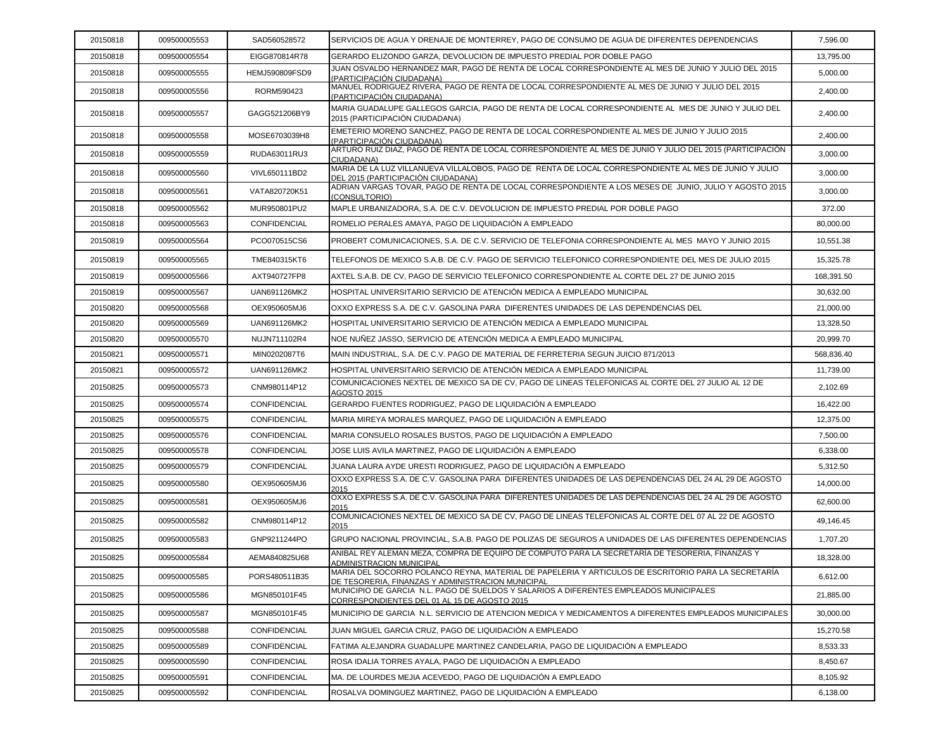| 20150818 | 009500005553 | SAD560528572        | SERVICIOS DE AGUA Y DRENAJE DE MONTERREY, PAGO DE CONSUMO DE AGUA DE DIFERENTES DEPENDENCIAS                                                             | 7,596.00   |
|----------|--------------|---------------------|----------------------------------------------------------------------------------------------------------------------------------------------------------|------------|
| 20150818 | 009500005554 | EIGG870814R78       | GERARDO ELIZONDO GARZA, DEVOLUCION DE IMPUESTO PREDIAL POR DOBLE PAGO                                                                                    | 13,795.00  |
| 20150818 | 009500005555 | HEMJ590809FSD9      | JUAN OSVALDO HERNANDEZ MAR, PAGO DE RENTA DE LOCAL CORRESPONDIENTE AL MES DE JUNIO Y JULIO DEL 2015<br>(PARTICIPACIÓN CIUDADANA)                         | 5,000.00   |
| 20150818 | 009500005556 | RORM590423          | MANUEL RODRIGUEZ RIVERA, PAGO DE RENTA DE LOCAL CORRESPONDIENTE AL MES DE JUNIO Y JULIO DEL 2015<br>(PARTICIPACIÓN CIUDADANA)                            | 2,400.00   |
| 20150818 | 009500005557 | GAGG521206BY9       | MARIA GUADALUPE GALLEGOS GARCIA, PAGO DE RENTA DE LOCAL CORRESPONDIENTE AL MES DE JUNIO Y JULIO DEL<br>2015 (PARTICIPACIÓN CIUDADANA)                    | 2,400.00   |
| 20150818 | 009500005558 | MOSE6703039H8       | EMETERIO MORENO SANCHEZ, PAGO DE RENTA DE LOCAL CORRESPONDIENTE AL MES DE JUNIO Y JULIO 2015<br>(PARTICIPACIÓN CIUDADANA)                                | 2,400.00   |
| 20150818 | 009500005559 | RUDA63011RU3        | ARTURO RUIZ DIAZ, PAGO DE RENTA DE LOCAL CORRESPONDIENTE AL MES DE JUNIO Y JULIO DEL 2015 (PARTICIPACIÓN<br>CIUDADANA)                                   | 3,000.00   |
| 20150818 | 009500005560 | VIVL650111BD2       | MARIA DE LA LUZ VILLANUEVA VILLALOBOS. PAGO DE RENTA DE LOCAL CORRESPONDIENTE AL MES DE JUNIO Y JULIO<br>DEL 2015 (PARTICIPACIÓN CIUDADANA)              | 3,000.00   |
| 20150818 | 009500005561 | VATA820720K51       | ADRIAN VARGAS TOVAR, PAGO DE RENTA DE LOCAL CORRESPONDIENTE A LOS MESES DE JUNIO, JULIO Y AGOSTO 2015<br>(CONSULTORIO)                                   | 3,000.00   |
| 20150818 | 009500005562 | MUR950801PU2        | MAPLE URBANIZADORA, S.A. DE C.V. DEVOLUCION DE IMPUESTO PREDIAL POR DOBLE PAGO                                                                           | 372.00     |
| 20150818 | 009500005563 | <b>CONFIDENCIAL</b> | ROMELIO PERALES AMAYA, PAGO DE LIQUIDACIÓN A EMPLEADO                                                                                                    | 80,000.00  |
| 20150819 | 009500005564 | PCO070515CS6        | PROBERT COMUNICACIONES, S.A. DE C.V. SERVICIO DE TELEFONIA CORRESPONDIENTE AL MES MAYO Y JUNIO 2015                                                      | 10,551.38  |
| 20150819 | 009500005565 | TME840315KT6        | TELEFONOS DE MEXICO S.A.B. DE C.V. PAGO DE SERVICIO TELEFONICO CORRESPONDIENTE DEL MES DE JULIO 2015                                                     | 15,325.78  |
| 20150819 | 009500005566 | AXT940727FP8        | AXTEL S.A.B. DE CV. PAGO DE SERVICIO TELEFONICO CORRESPONDIENTE AL CORTE DEL 27 DE JUNIO 2015                                                            | 168,391.50 |
| 20150819 | 009500005567 | UAN691126MK2        | HOSPITAL UNIVERSITARIO SERVICIO DE ATENCIÓN MEDICA A EMPLEADO MUNICIPAL                                                                                  | 30,632.00  |
| 20150820 | 009500005568 | OEX950605MJ6        | OXXO EXPRESS S.A. DE C.V. GASOLINA PARA DIFERENTES UNIDADES DE LAS DEPENDENCIAS DEL                                                                      | 21,000.00  |
| 20150820 | 009500005569 | UAN691126MK2        | HOSPITAL UNIVERSITARIO SERVICIO DE ATENCIÓN MEDICA A EMPLEADO MUNICIPAL                                                                                  | 13.328.50  |
| 20150820 | 009500005570 | NUJN711102R4        | NOE NUÑEZ JASSO. SERVICIO DE ATENCIÓN MEDICA A EMPLEADO MUNICIPAL                                                                                        | 20,999.70  |
| 20150821 | 009500005571 | MIN0202087T6        | MAIN INDUSTRIAL, S.A. DE C.V. PAGO DE MATERIAL DE FERRETERIA SEGUN JUICIO 871/2013                                                                       | 568,836.40 |
| 20150821 | 009500005572 | UAN691126MK2        | HOSPITAL UNIVERSITARIO SERVICIO DE ATENCIÓN MEDICA A EMPLEADO MUNICIPAL                                                                                  | 11,739.00  |
| 20150825 | 009500005573 | CNM980114P12        | COMUNICACIONES NEXTEL DE MEXICO SA DE CV, PAGO DE LINEAS TELEFONICAS AL CORTE DEL 27 JULIO AL 12 DE<br><b>AGOSTO 2015</b>                                | 2,102.69   |
| 20150825 | 009500005574 | CONFIDENCIAL        | GERARDO FUENTES RODRIGUEZ, PAGO DE LIQUIDACIÓN A EMPLEADO                                                                                                | 16,422.00  |
| 20150825 | 009500005575 | CONFIDENCIAL        | MARIA MIREYA MORALES MARQUEZ, PAGO DE LIQUIDACIÓN A EMPLEADO                                                                                             | 12,375.00  |
| 20150825 | 009500005576 | <b>CONFIDENCIAL</b> | MARIA CONSUELO ROSALES BUSTOS, PAGO DE LIQUIDACIÓN A EMPLEADO                                                                                            | 7,500.00   |
| 20150825 | 009500005578 | CONFIDENCIAL        | JOSE LUIS AVILA MARTINEZ, PAGO DE LIQUIDACIÓN A EMPLEADO                                                                                                 | 6,338.00   |
| 20150825 | 009500005579 | CONFIDENCIAL        | JUANA LAURA AYDE URESTI RODRIGUEZ. PAGO DE LIQUIDACIÓN A EMPLEADO                                                                                        | 5,312.50   |
| 20150825 | 009500005580 | OEX950605MJ6        | OXXO EXPRESS S.A. DE C.V. GASOLINA PARA DIFERENTES UNIDADES DE LAS DEPENDENCIAS DEL 24 AL 29 DE AGOSTO<br>2015                                           | 14,000.00  |
| 20150825 | 009500005581 | OEX950605MJ6        | OXXO EXPRESS S.A. DE C.V. GASOLINA PARA DIFERENTES UNIDADES DE LAS DEPENDENCIAS DEL 24 AL 29 DE AGOSTO<br>2015                                           | 62,600.00  |
| 20150825 | 009500005582 | CNM980114P12        | COMUNICACIONES NEXTEL DE MEXICO SA DE CV, PAGO DE LINEAS TELEFONICAS AL CORTE DEL 07 AL 22 DE AGOSTO<br>2015                                             | 49,146.45  |
| 20150825 | 009500005583 | GNP9211244PO        | GRUPO NACIONAL PROVINCIAL, S.A.B. PAGO DE POLIZAS DE SEGUROS A UNIDADES DE LAS DIFERENTES DEPENDENCIAS                                                   | 1,707.20   |
| 20150825 | 009500005584 | AEMA840825U68       | ANIBAL REY ALEMAN MEZA. COMPRA DE EQUIPO DE COMPUTO PARA LA SECRETARÍA DE TESORERIA. FINANZAS Y<br><b>ADMINISTRACION MUNICIPAL</b>                       | 18,328.00  |
| 20150825 | 009500005585 | PORS480511B35       | MARIA DEL SOCORRO POLANCO REYNA, MATERIAL DE PAPELERIA Y ARTICULOS DE ESCRITORIO PARA LA SECRETARÍA<br>DE TESORERIA, FINANZAS Y ADMINISTRACION MUNICIPAL | 6,612.00   |
| 20150825 | 009500005586 | MGN850101F45        | MUNICIPIO DE GARCIA N.L. PAGO DE SUELDOS Y SALARIOS A DIFERENTES EMPLEADOS MUNICIPALES<br>CORRESPONDIENTES DEL 01 AL 15 DE AGOSTO 2015                   | 21,885.00  |
| 20150825 | 009500005587 | MGN850101F45        | MUNICIPIO DE GARCIA N.L. SERVICIO DE ATENCION MEDICA Y MEDICAMENTOS A DIFERENTES EMPLEADOS MUNICIPALES                                                   | 30,000.00  |
| 20150825 | 009500005588 | <b>CONFIDENCIAL</b> | JUAN MIGUEL GARCIA CRUZ. PAGO DE LIQUIDACIÓN A EMPLEADO                                                                                                  | 15,270.58  |
| 20150825 | 009500005589 | CONFIDENCIAL        | FATIMA ALEJANDRA GUADALUPE MARTINEZ CANDELARIA, PAGO DE LIQUIDACIÓN A EMPLEADO                                                                           | 8,533.33   |
| 20150825 | 009500005590 | CONFIDENCIAL        | ROSA IDALIA TORRES AYALA, PAGO DE LIQUIDACIÓN A EMPLEADO                                                                                                 | 8,450.67   |
| 20150825 | 009500005591 | CONFIDENCIAL        | MA. DE LOURDES MEJIA ACEVEDO, PAGO DE LIQUIDACIÓN A EMPLEADO                                                                                             | 8,105.92   |
| 20150825 | 009500005592 | CONFIDENCIAL        | ROSALVA DOMINGUEZ MARTINEZ, PAGO DE LIQUIDACIÓN A EMPLEADO                                                                                               | 6,138.00   |